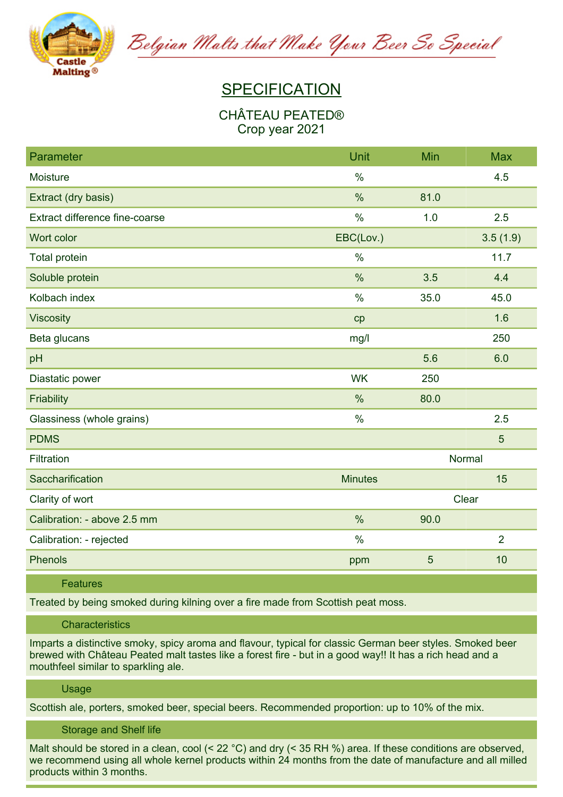

Belgian Malts that Make Your Beer So Special

# **SPECIFICATION**

## **CHÂTEAU PEATED® Crop year 2021**

| Parameter                      | Unit           | Min   | <b>Max</b>     |
|--------------------------------|----------------|-------|----------------|
| Moisture                       | $\%$           |       | 4.5            |
| Extract (dry basis)            | $\%$           | 81.0  |                |
| Extract difference fine-coarse | $\%$           | 1.0   | 2.5            |
| Wort color                     | EBC(Lov.)      |       | 3.5(1.9)       |
| Total protein                  | $\frac{0}{0}$  |       | 11.7           |
| Soluble protein                | $\%$           | 3.5   | 4.4            |
| Kolbach index                  | $\%$           | 35.0  | 45.0           |
| <b>Viscosity</b>               | cp             |       | 1.6            |
| Beta glucans                   | mg/l           |       | 250            |
| pH                             |                | 5.6   | 6.0            |
| Diastatic power                | <b>WK</b>      | 250   |                |
| Friability                     | $\%$           | 80.0  |                |
| Glassiness (whole grains)      | $\%$           |       | 2.5            |
| <b>PDMS</b>                    |                |       | 5              |
| Filtration                     | Normal         |       |                |
| Saccharification               | <b>Minutes</b> |       | 15             |
| Clarity of wort                |                | Clear |                |
| Calibration: - above 2.5 mm    | $\frac{0}{0}$  | 90.0  |                |
| Calibration: - rejected        | $\frac{0}{0}$  |       | $\overline{2}$ |
| Phenols                        | ppm            | 5     | 10             |

### **Features**

**Treated by being smoked during kilning over a fire made from Scottish peat moss.**

## **Characteristics**

**Imparts a distinctive smoky, spicy aroma and flavour, typical for classic German beer styles. Smoked beer** brewed with Château Peated malt tastes like a forest fire - but in a good way!! It has a rich head and a **mouthfeel similar to sparkling ale.**

#### **Usage**

**Scottish ale, porters, smoked beer, special beers. Recommended proportion: up to 10% of the mix.**

## **Storage and Shelf life**

Malt should be stored in a clean, cool (<  $22 \text{ °C}$ ) and dry (< 35 RH %) area. If these conditions are observed, we recommend using all whole kernel products within 24 months from the date of manufacture and all milled **products within 3 months.**